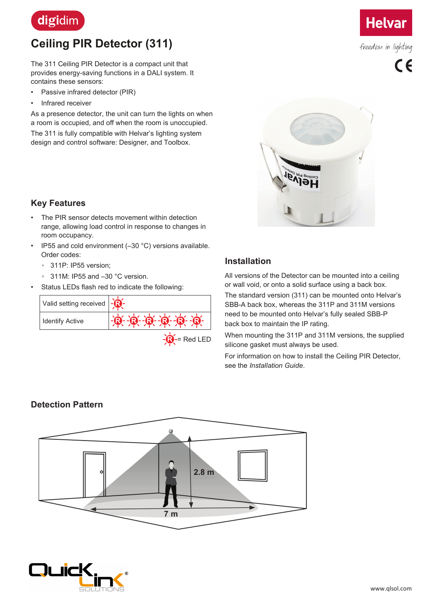

# **Ceiling PIR Detector (311)**

The 311 Ceiling PIR Detector is a compact unit that provides energy-saving functions in a DALI system. It contains these sensors:

- Passive infrared detector (PIR)
- Infrared receiver

As a presence detector, the unit can turn the lights on when a room is occupied, and off when the room is unoccupied.

The 311 is fully compatible with Helvar's lighting system design and control software: Designer, and Toolbox.



freedom in lighting



## **Key Features**

- The PIR sensor detects movement within detection range, allowing load control in response to changes in room occupancy.
- IP55 and cold environment (-30 °C) versions available. Order codes:
	- 311P: IP55 version;
	- 311M: IP55 and –30 °C version.
- Status LEDs flash red to indicate the following:



## **Installation**

All versions of the Detector can be mounted into a ceiling or wall void, or onto a solid surface using a back box. The standard version (311) can be mounted onto Helvar's SBB-A back box, whereas the 311P and 311M versions need to be mounted onto Helvar's fully sealed SBB-P back box to maintain the IP rating.

When mounting the 311P and 311M versions, the supplied silicone gasket must always be used.

For information on how to install the Ceiling PIR Detector, see the *Installation Guide*.

## **Detection Pattern**